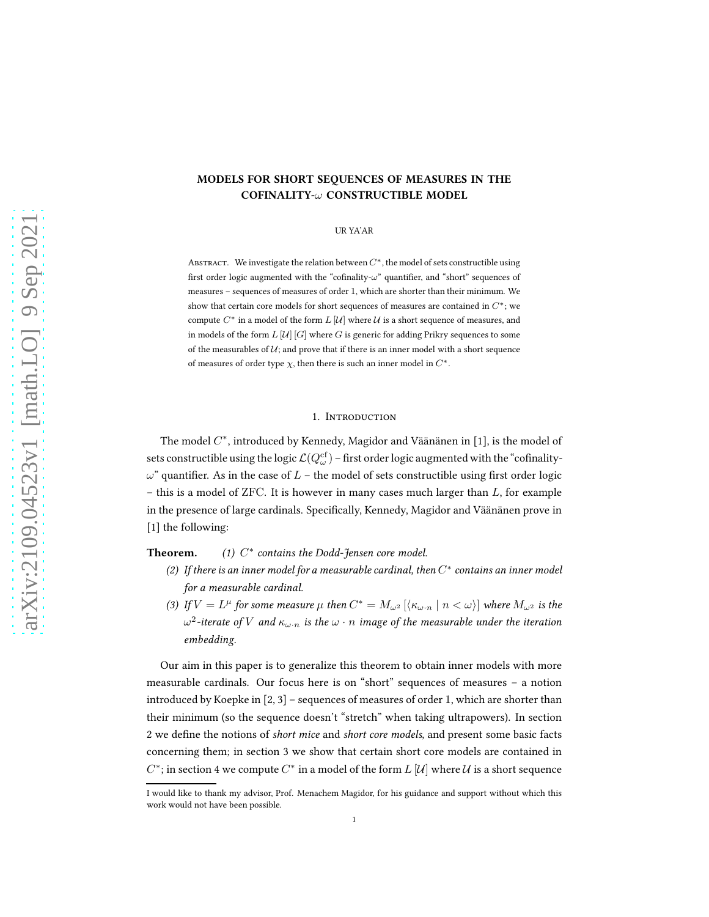# MODELS FOR SHORT SEQUENCES OF MEASURES IN THE COFINALITY-ω CONSTRUCTIBLE MODEL

## UR YA'AR

ABSTRACT. We investigate the relation between  $C^*$ , the model of sets constructible using first order logic augmented with the "cofinality- $\omega$ " quantifier, and "short" sequences of measures – sequences of measures of order 1, which are shorter than their minimum. We show that certain core models for short sequences of measures are contained in  $C^*$ ; we compute  $C^*$  in a model of the form  $L[\mathcal{U}]$  where  $\mathcal U$  is a short sequence of measures, and in models of the form  $L[\mathcal{U}][G]$  where G is generic for adding Prikry sequences to some of the measurables of  $U$ ; and prove that if there is an inner model with a short sequence of measures of order type  $\chi$ , then there is such an inner model in  $C^*$ .

## 1. INTRODUCTION

The model  $C^*$ , introduced by Kennedy, Magidor and Väänänen in [\[1\]](#page-11-0), is the model of sets constructible using the logic  $\mathcal{L}(Q_\omega^\mathrm{cf})$  – first order logic augmented with the "cofinality- $\omega$ " quantifier. As in the case of  $L$  – the model of sets constructible using first order logic – this is a model of ZFC. It is however in many cases much larger than  $L$ , for example in the presence of large cardinals. Specifically, Kennedy, Magidor and Väänänen prove in [\[1\]](#page-11-0) the following:

#### Theorem. ∗ contains the Dodd-Jensen core model.

- (2) If there is an inner model for a measurable cardinal, then  $C^*$  contains an inner model for a measurable cardinal.
- (3) If  $V = L^{\mu}$  for some measure  $\mu$  then  $C^* = M_{\omega^2} [\langle \kappa_{\omega \cdot n} \mid n < \omega \rangle]$  where  $M_{\omega^2}$  is the  $\omega^2$ -iterate of  $V$  and  $\kappa_{\omega \cdot n}$  is the  $\omega \cdot n$  image of the measurable under the iteration embedding.

Our aim in this paper is to generalize this theorem to obtain inner models with more measurable cardinals. Our focus here is on "short" sequences of measures – a notion introduced by Koepke in [\[2,](#page-11-1) [3\]](#page-11-2) – sequences of measures of order 1, which are shorter than their minimum (so the sequence doesn't "stretch" when taking ultrapowers). In section [2](#page-1-0) we define the notions of short mice and short core models, and present some basic facts concerning them; in section [3](#page-4-0) we show that certain short core models are contained in  $C^*$ ; in section [4](#page-7-0) we compute  $C^*$  in a model of the form  $L$   $[\mathcal{U}]$  where  $\mathcal U$  is a short sequence

I would like to thank my advisor, Prof. Menachem Magidor, for his guidance and support without which this work would not have been possible.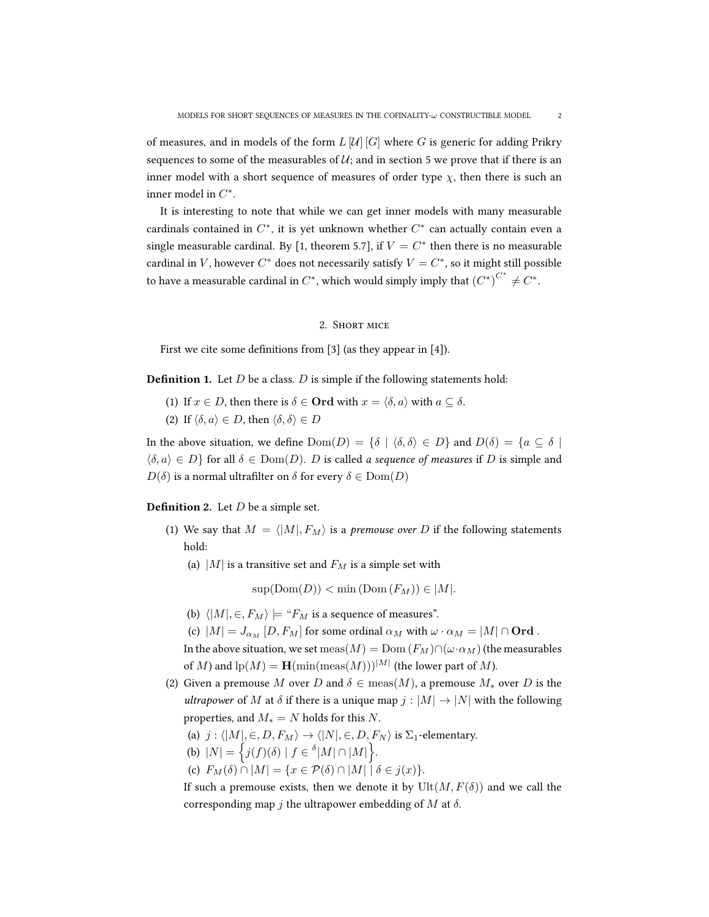of measures, and in models of the form  $L[\mathcal{U}][G]$  where G is generic for adding Prikry sequences to some of the measurables of  $U$ ; and in section [5](#page-9-0) we prove that if there is an inner model with a short sequence of measures of order type  $\chi$ , then there is such an inner model in  $C^*$ .

It is interesting to note that while we can get inner models with many measurable cardinals contained in  $C^*$ , it is yet unknown whether  $C^*$  can actually contain even a single measurable cardinal. By [\[1,](#page-11-0) theorem 5.7], if  $V = C^*$  then there is no measurable cardinal in V, however  $C^*$  does not necessarily satisfy  $V = C^*$ , so it might still possible to have a measurable cardinal in  $C^*$ , which would simply imply that  ${(C^*)}^{C^*} \neq C^*$ .

## 2. Short mice

<span id="page-1-0"></span>First we cite some definitions from [\[3\]](#page-11-2) (as they appear in [\[4\]](#page-11-3)).

**Definition 1.** Let  $D$  be a class.  $D$  is simple if the following statements hold:

- (1) If  $x \in D$ , then there is  $\delta \in \mathbf{Ord}$  with  $x = \langle \delta, a \rangle$  with  $a \subseteq \delta$ .
- (2) If  $\langle \delta, a \rangle \in D$ , then  $\langle \delta, \delta \rangle \in D$

In the above situation, we define  $Dom(D) = \{\delta | \langle \delta, \delta \rangle \in D\}$  and  $D(\delta) = \{a \subseteq \delta |$  $\{\delta, a\} \in D$  for all  $\delta \in \text{Dom}(D)$ . D is called a sequence of measures if D is simple and  $D(\delta)$  is a normal ultrafilter on  $\delta$  for every  $\delta \in \text{Dom}(D)$ 

**Definition 2.** Let  $D$  be a simple set.

- (1) We say that  $M = \langle |M|, F_M \rangle$  is a *premouse over D* if the following statements hold:
	- (a) |M| is a transitive set and  $F_M$  is a simple set with

 $\text{sup}(\text{Dom}(D)) < \min(\text{Dom}(F_M)) \in |M|.$ 

- (b)  $\langle |M|, \in, F_M \rangle \models "F_M$  is a sequence of measures".
- (c)  $|M| = J_{\alpha_M} [D, F_M]$  for some ordinal  $\alpha_M$  with  $\omega \cdot \alpha_M = |M| \cap \textbf{Ord}$ .

In the above situation, we set  ${\rm meas}(M)={\rm Dom\,}(F_M)\cap (\omega\cdot\alpha_M)$  (the measurables of M) and  $\ln(M) = \mathbf{H}(\min(\text{meas}(M)))^{|M|}$  (the lower part of M).

- (2) Given a premouse M over D and  $\delta \in \text{meas}(M)$ , a premouse  $M_*$  over D is the ultrapower of M at  $\delta$  if there is a unique map  $j : |M| \to |N|$  with the following properties, and  $M_* = N$  holds for this N.
	- (a)  $j : \langle |M|, \in, D, F_M \rangle \rightarrow \langle |N|, \in, D, F_N \rangle$  is  $\Sigma_1$ -elementary.
	- (b)  $|N| = \left\{ j(f)(\delta) \mid f \in {^{\delta}|M| \cap |M|} \right\}.$
	- (c)  $F_M(\delta) \cap |M| = \{x \in \mathcal{P}(\delta) \cap |M| \mid \delta \in j(x)\}.$

If such a premouse exists, then we denote it by  $Ult(M,F(\delta))$  and we call the corresponding map j the ultrapower embedding of  $M$  at  $\delta$ .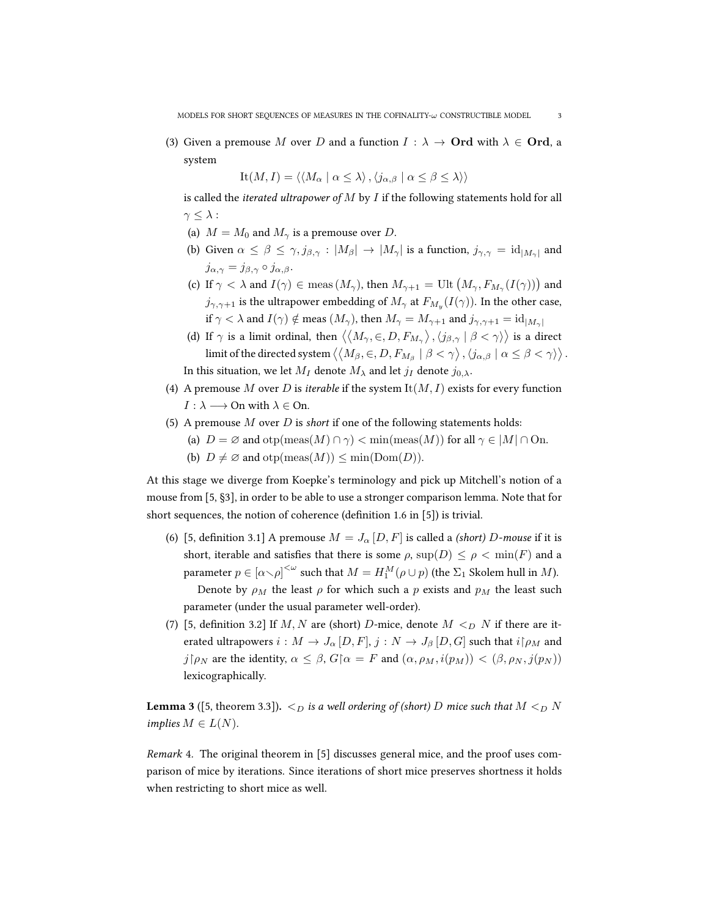(3) Given a premouse M over D and a function  $I : \lambda \to \mathbf{Ord}$  with  $\lambda \in \mathbf{Ord}$ , a system

$$
It(M, I) = \langle \langle M_{\alpha} \mid \alpha \le \lambda \rangle, \langle j_{\alpha, \beta} \mid \alpha \le \beta \le \lambda \rangle \rangle
$$

is called the *iterated ultrapower of*  $M$  by  $I$  if the following statements hold for all  $\gamma \leq \lambda$ :

- (a)  $M = M_0$  and  $M_\gamma$  is a premouse over D.
- (b) Given  $\alpha \le \beta \le \gamma$ ,  $j_{\beta,\gamma}: |M_{\beta}| \to |M_{\gamma}|$  is a function,  $j_{\gamma,\gamma} = \mathrm{id}_{|M_{\gamma}|}$  and  $j_{\alpha,\gamma} = j_{\beta,\gamma} \circ j_{\alpha,\beta}.$
- (c) If  $\gamma < \lambda$  and  $I(\gamma) \in \text{meas} (M_\gamma)$ , then  $M_{\gamma+1} = \text{Ult}\left(M_\gamma,F_{M_\gamma}(I(\gamma))\right)$  and  $j_{\gamma,\gamma+1}$  is the ultrapower embedding of  $M_{\gamma}$  at  $F_{M_y}(I(\gamma)).$  In the other case, if  $\gamma < \lambda$  and  $I(\gamma) \notin \text{meas } (M_{\gamma})$ , then  $M_{\gamma} = M_{\gamma+1}$  and  $j_{\gamma,\gamma+1} = \text{id}_{|M_{\gamma}|}$
- (d) If  $\gamma$  is a limit ordinal, then  $\big\langle\big\langle M_\gamma,\in,D,F_{M_\gamma}\big\rangle\,,\langle j_{\beta,\gamma}\mid\beta<\gamma\rangle\big\rangle$  is a direct limit of the directed system  $\big\langle\big\langle M_\beta, \infty, D, F_{M_\beta}\mid \beta<\gamma\big\rangle$  ,  $\langle j_{\alpha,\beta}\mid \alpha\le\beta<\gamma\rangle\big\rangle$  . In this situation, we let  $M_I$  denote  $M_\lambda$  and let  $j_I$  denote  $j_{0,\lambda}$ .
- (4) A premouse M over D is *iterable* if the system  $It(M, I)$  exists for every function  $I : \lambda \longrightarrow$  On with  $\lambda \in$  On.
- (5) A premouse  $M$  over  $D$  is short if one of the following statements holds:
	- (a)  $D = \emptyset$  and  $otp(max(M) \cap \gamma) < min(mes(M))$  for all  $\gamma \in |M| \cap On$ .
	- (b)  $D \neq \emptyset$  and  $otp(max(M)) \leq min(Dom(D)).$

At this stage we diverge from Koepke's terminology and pick up Mitchell's notion of a mouse from [\[5,](#page-11-4) §3], in order to be able to use a stronger comparison lemma. Note that for short sequences, the notion of coherence (definition 1.6 in [\[5\]](#page-11-4)) is trivial.

- (6) [\[5,](#page-11-4) definition 3.1] A premouse  $M = J_{\alpha} [D, F]$  is called a *(short)* D-mouse if it is short, iterable and satisfies that there is some  $\rho$ ,  $\sup(D) \leq \rho < \min(F)$  and a parameter  $p\in [\alpha\smallsetminus\rho]^{<\omega}$  such that  $M=H_1^M(\rho\cup p)$  (the  $\Sigma_1$  Skolem hull in  $M$ ). Denote by  $\rho_M$  the least  $\rho$  for which such a p exists and  $p_M$  the least such parameter (under the usual parameter well-order).
- (7) [\[5,](#page-11-4) definition 3.2] If M, N are (short) D-mice, denote  $M <_D N$  if there are iterated ultrapowers  $i : M \to J_\alpha [D, F], j : N \to J_\beta [D, G]$  such that  $i \upharpoonright \rho_M$  and  $j\upharpoonright \rho_N$  are the identity,  $\alpha \leq \beta$ ,  $G\upharpoonright \alpha = F$  and  $(\alpha, \rho_M, i(p_M)) < (\beta, \rho_N, j(p_N))$ lexicographically.

<span id="page-2-0"></span>**Lemma 3** ([\[5,](#page-11-4) theorem 3.3]).  $\lt_D$  is a well ordering of (short) D mice such that  $M \lt_D N$ implies  $M \in L(N)$ .

Remark 4. The original theorem in [\[5\]](#page-11-4) discusses general mice, and the proof uses comparison of mice by iterations. Since iterations of short mice preserves shortness it holds when restricting to short mice as well.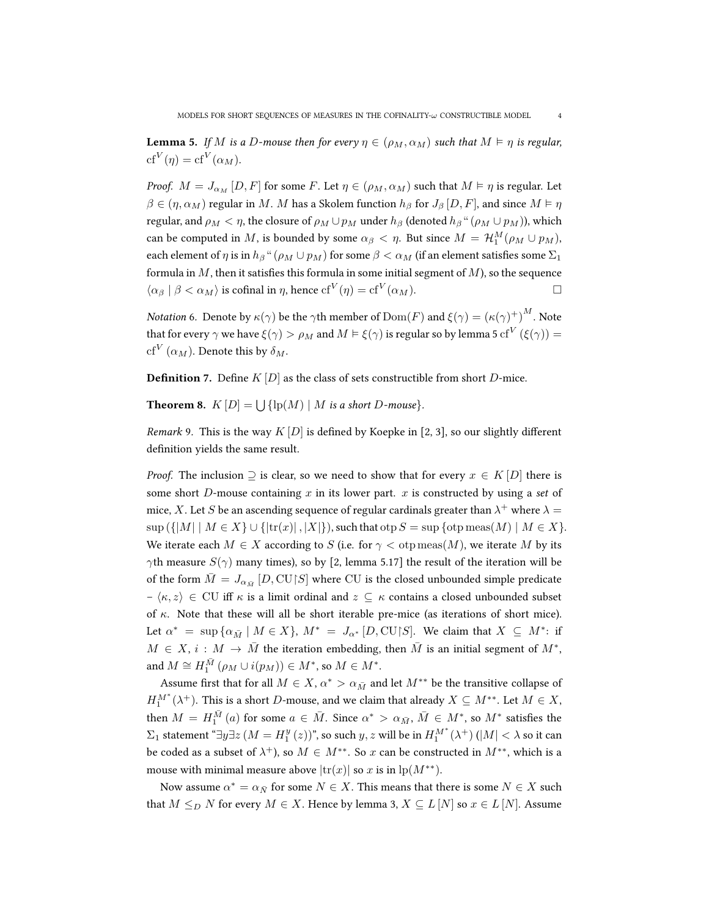<span id="page-3-0"></span>**Lemma 5.** If M is a D-mouse then for every  $\eta \in (\rho_M, \alpha_M)$  such that  $M \models \eta$  is regular,  $\mathrm{cf}^V(\eta)=\mathrm{cf}^V(\alpha_M).$ 

*Proof.*  $M = J_{\alpha_M} [D, F]$  for some F. Let  $\eta \in (\rho_M, \alpha_M)$  such that  $M \vDash \eta$  is regular. Let  $\beta \in (\eta, \alpha_M)$  regular in M. M has a Skolem function  $h_\beta$  for  $J_\beta$  [D, F], and since  $M \vDash \eta$ regular, and  $\rho_M < \eta$ , the closure of  $\rho_M \cup p_M$  under  $h_\beta$  (denoted  $h_\beta$  "  $(\rho_M \cup p_M)$ ), which can be computed in  $M$ , is bounded by some  $\alpha_{\beta} < \eta$ . But since  $M = \mathcal{H}_1^M(\rho_M \cup p_M)$ , each element of  $\eta$  is in  $h_\beta$ " ( $\rho_M \cup p_M$ ) for some  $\beta < \alpha_M$  (if an element satisfies some  $\Sigma_1$ formula in  $M$ , then it satisfies this formula in some initial segment of  $M$ ), so the sequence  $\langle \alpha_{\beta} | \beta < \alpha_M \rangle$  is cofinal in  $\eta$ , hence  $cf^V(\eta) = cf^V(\alpha_M)$ .

*Notation* 6. Denote by  $\kappa(\gamma)$  be the  $\gamma$ th member of  $\text{Dom}(F)$  and  $\xi(\gamma) = (\kappa(\gamma)^+)^M$ . Note that for every  $\gamma$  we have  $\xi(\gamma)>\rho_M$  and  $M\models \xi(\gamma)$  is regular so by lemma [5](#page-3-0)  ${\rm cf}^V\left(\xi(\gamma)\right)=$  $\mathrm{cf}^V\left(\alpha_M\right)$ . Denote this by  $\delta_M.$ 

**Definition** 7. Define  $K |D|$  as the class of sets constructible from short D-mice.

<span id="page-3-1"></span>**Theorem 8.**  $K[D] = \bigcup \{ \text{lp}(M) \mid M \text{ is a short } D\text{-mouse} \}.$ 

Remark 9. This is the way  $K[D]$  is defined by Koepke in [\[2,](#page-11-1) [3\]](#page-11-2), so our slightly different definition yields the same result.

*Proof.* The inclusion  $\supseteq$  is clear, so we need to show that for every  $x \in K[D]$  there is some short  $D$ -mouse containing  $x$  in its lower part.  $x$  is constructed by using a set of mice,  $X.$  Let  $S$  be an ascending sequence of regular cardinals greater than  $\lambda^+$  where  $\lambda=$  $\sup (\{|M| \mid M \in X\} \cup \{|tr(x)|, |X|\}),$  such that  $\sup S = \sup \{\text{otp} \max(M) \mid M \in X\}.$ We iterate each  $M \in X$  according to S (i.e. for  $\gamma <$  otp meas(M), we iterate M by its  $\gamma$ th measure  $S(\gamma)$  many times), so by [\[2,](#page-11-1) lemma 5.17] the result of the iteration will be of the form  $\bar{M} = J_{\alpha_{\bar{M}}} \left[ D, \mathrm{CU} \mathord{\restriction} S \right]$  where  $\mathrm{CU}$  is the closed unbounded simple predicate  $-\langle \kappa, z \rangle \in \mathrm{CU}$  iff  $\kappa$  is a limit ordinal and  $z \subseteq \kappa$  contains a closed unbounded subset of  $\kappa$ . Note that these will all be short iterable pre-mice (as iterations of short mice). Let  $\alpha^* = \sup \{ \alpha_{\bar{M}} \mid M \in X \}$ ,  $M^* = J_{\alpha^*} [D, \text{CU} \backslash S]$ . We claim that  $X \subseteq M^*$ : if  $M \in X$ ,  $i : M \to \bar{M}$  the iteration embedding, then  $\bar{M}$  is an initial segment of  $M^*$ , and  $M \cong H_1^{\bar{M}}\left(\rho_M \cup i(p_M)\right) \in M^*$ , so  $M \in M^*.$ 

Assume first that for all  $M \in X$ ,  $\alpha^* > \alpha_{\bar{M}}$  and let  $M^{**}$  be the transitive collapse of  $H_1^{M^*}(\lambda^+)$ . This is a short D-mouse, and we claim that already  $X\subseteq M^{**}$ . Let  $M\in X,$ then  $M=H_{1}^{\bar{M}}\left(a\right)$  for some  $a\,\in\,\bar{M}.$  Since  $\alpha^{*}\,>\,\alpha_{\bar{M}},\,\bar{M}\,\in\,M^{*},$  so  $M^{*}$  satisfies the  $\Sigma_1$  statement "∃ $y\exists z$   $(M = H_1^y(z))$ ", so such  $y, z$  will be in  $H_1^{M^*}(\lambda^+)$   $(|M| < \lambda$  so it can be coded as a subset of  $\lambda^+$ ), so  $M \in M^{**}$ . So  $x$  can be constructed in  $M^{**}$ , which is a mouse with minimal measure above  $|\text{tr}(x)|$  so x is in  $\text{lp}(M^{**})$ .

Now assume  $\alpha^* = \alpha_{\bar{N}}$  for some  $N \in X$ . This means that there is some  $N \in X$  such that  $M \leq_D N$  for every  $M \in X$ . Hence by lemma [3,](#page-2-0)  $X \subseteq L[N]$  so  $x \in L[N]$ . Assume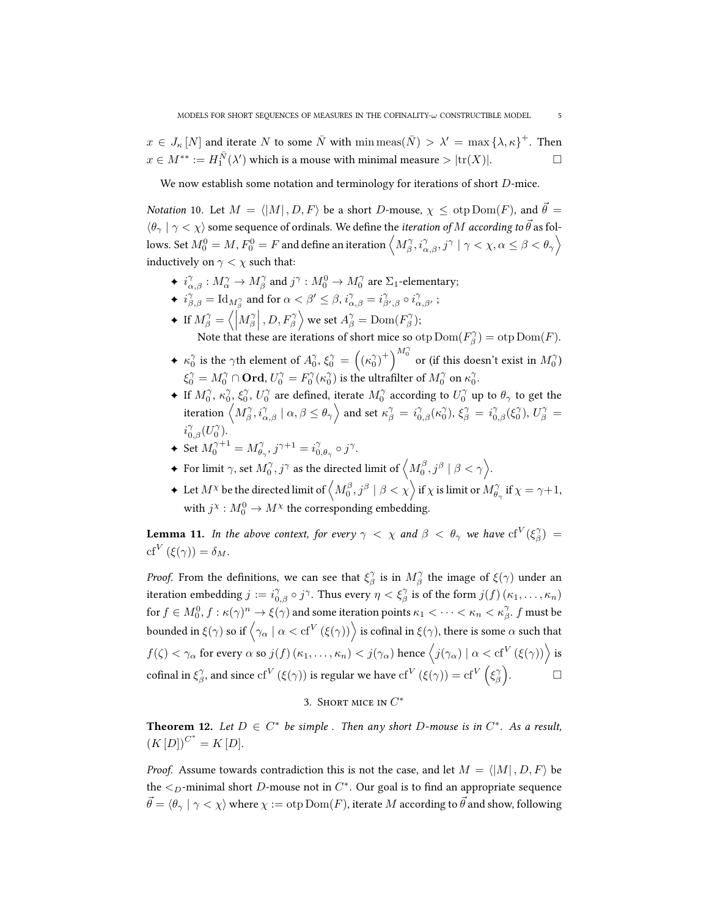$x \in J_{\kappa}[N]$  and iterate N to some  $\bar{N}$  with  $\min\mathrm{meas}(\bar{N}) > \lambda' = \max\{\lambda, \kappa\}^+$ . Then  $x \in M^{**} := H_1^{\bar{N}}(\lambda')$  which is a mouse with minimal measure  $> |\text{tr}(X)|$ .

We now establish some notation and terminology for iterations of short D-mice.

*Notation* 10. Let  $M = \langle |M| , D, F \rangle$  be a short D-mouse,  $\chi \leq$  otp Dom(F), and  $\vec{\theta} =$  $\langle \theta_{\gamma} | \gamma < \chi \rangle$  some sequence of ordinals. We define the *iteration of M according to*  $\vec{\theta}$  as follows. Set  $M_0^0=M$  ,  $F_0^0=F$  and define an iteration  $\left\langle M_\beta^\gamma, i_{\alpha,\beta}^\gamma, j^\gamma\mid\gamma<\chi,\alpha\le\beta<\theta_\gamma\right\rangle$ inductively on  $\gamma < \chi$  such that:

- $\blacklozenge\ i^{\gamma}_{\alpha,\beta}:M^{\gamma}_{\alpha}\to M^{\gamma}_{\beta}$  and  $j^{\gamma}:M^0_0\to M^{\gamma}_0$  are  $\Sigma_1$ -elementary;
- ◆  $i^{\gamma}_{\beta,\beta} = \text{Id}_{M^{\gamma}_{\beta}}$  and for  $\alpha < \beta' \leq \beta$ ,  $i^{\gamma}_{\alpha,\beta} = i^{\gamma}_{\beta',\beta} \circ i^{\gamma}_{\alpha,\beta'}$ ;
- **←** If  $M_{\beta}^{\gamma} = \langle \left| M_{\beta}^{\gamma} \right|, D, F_{\beta}^{\gamma} \rangle$  we set  $A_{\beta}^{\gamma} = \text{Dom}(F_{\beta}^{\gamma})$ ;

Note that these are iterations of short mice so  $\text{otp}$  Dom $(F_{\beta}^{\gamma}) = \text{otp}$  Dom $(F)$ .

- $\blacklozenge$   $\kappa_0^\gamma$  is the  $\gamma$ th element of  $A_0^\gamma$ ,  $\xi_0^\gamma = \left(\left(\kappa_0^\gamma\right)^+\right)^{M_0^\gamma}$  or (if this doesn't exist in  $M_0^\gamma)$  $\xi_0^\gamma = M_0^\gamma \cap \mathbf{Ord} , U_0^\gamma = F_0^\gamma (\kappa_0^\gamma)$  is the ultrafilter of  $M_0^\gamma$  on  $\kappa_0^\gamma.$
- **←** If  $M_0^\gamma$ ,  $\kappa_0^\gamma$ ,  $\xi_0^\gamma$ ,  $U_0^\gamma$  are defined, iterate  $M_0^\gamma$  according to  $U_0^\gamma$  up to  $\theta_\gamma$  to get the iteration  $\left\langle M^{\gamma}_{\beta}, i^{\gamma}_{\alpha, \beta} \mid \alpha, \beta \leq \theta_{\gamma} \right\rangle$  and set  $\kappa^{\gamma}_{\beta} = \,i^{\gamma}_{0,\beta}(\kappa^{\gamma}_0), \, \xi^{\gamma}_{\beta} = \,i^{\gamma}_{0,\beta}(\xi^{\gamma}_0), \, U^{\gamma}_{\beta} = \,$  $i_{0,\beta}^{\gamma}(U_0^{\gamma}).$
- $\blacklozenge$  Set  $M_0^{\gamma+1} = M_{\theta_\gamma}^\gamma$ ,  $j^{\gamma+1} = i_{0,\theta_\gamma}^\gamma \circ j^\gamma$ .
- $\blacklozenge$  For limit  $\gamma,$  set  $M^{\gamma}_{0},$   $j^{\gamma}$  as the directed limit of  $\left\langle M^{\beta}_{0}, j^{\beta} \mid \beta < \gamma \right\rangle$ .
- $\blacklozenge$  Let  $M^\chi$  be the directed limit of  $\left\langle M^\beta_0, j^\beta\mid\beta<\chi\right\rangle$  if  $\chi$  is limit or  $M^\gamma_{\theta_\gamma}$  if  $\chi=\gamma+1,$ with  $j^\chi: M_0^0 \to M^\chi$  the corresponding embedding.

**Lemma 11.** In the above context, for every  $\gamma < \chi$  and  $\beta < \theta_{\gamma}$  we have  $\mathrm{cf}^V(\xi_{\beta}^{\gamma}) =$ cf<sup>V</sup> ( $\xi(\gamma)$ ) =  $\delta_M$ .

*Proof.* From the definitions, we can see that  $\xi_{\beta}^{\gamma}$  is in  $M_{\beta}^{\gamma}$  the image of  $\xi(\gamma)$  under an iteration embedding  $j := i_{0,\beta}^{\gamma} \circ j^{\gamma}$ . Thus every  $\eta < \xi_{\beta}^{\gamma}$  is of the form  $j(f)(\kappa_1,\ldots,\kappa_n)$ for  $f\in M_0^0,$   $f:\kappa(\gamma)^n\to \xi(\gamma)$  and some iteration points  $\kappa_1<\cdots<\kappa_n<\kappa_\beta^\gamma.$   $f$  must be bounded in ξ( $\gamma$ ) so if  $\left\langle\gamma_\alpha\mid\alpha<\mathrm{cf}^V\left(\xi(\gamma)\right)\right\rangle$  is cofinal in ξ( $\gamma$ ), there is some  $\alpha$  such that  $f(\zeta)<\gamma_\alpha$  for every  $\alpha$  so  $j(f)$   $(\kappa_1,\ldots,\kappa_n)< j(\gamma_\alpha)$  hence  $\left\langle j(\gamma_\alpha)\mid \alpha<{\rm cf}^V\left(\xi(\gamma)\right)\right\rangle$  is cofinal in  $\xi^\gamma_\beta$ , and since  ${\rm cf}^V\left(\xi(\gamma)\right)$  is regular we have  ${\rm cf}^V\left(\xi(\gamma)\right)={\rm cf}^V\left(\xi^\gamma_\beta\right)$  $\Box$ 

# 3. SHORT MICE IN  $C^*$

<span id="page-4-1"></span><span id="page-4-0"></span>**Theorem 12.** Let  $D \in C^*$  be simple. Then any short D-mouse is in  $C^*$ . As a result,  $(K[D])^{C^*} = K[D].$ 

*Proof.* Assume towards contradiction this is not the case, and let  $M = \langle |M|, D, F \rangle$  be the  $\leq_D$ -minimal short  $D$ -mouse not in  $C^*$ . Our goal is to find an appropriate sequence  $\vec{\theta} = \langle \theta_{\gamma} | \gamma \langle \chi \rangle$  where  $\chi := \text{otp Dom}(F)$ , iterate M according to  $\vec{\theta}$  and show, following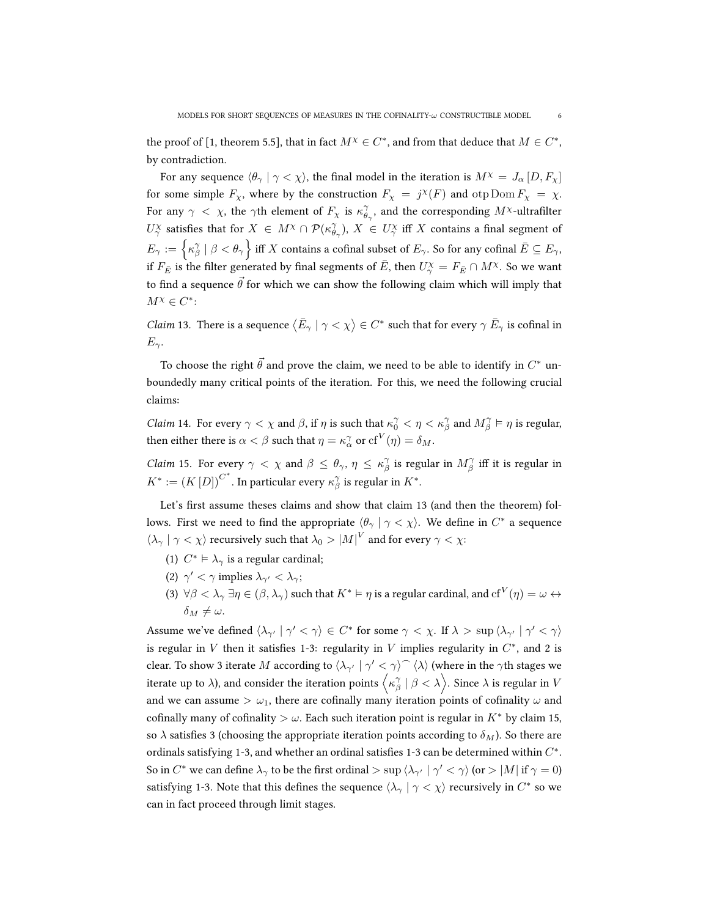the proof of [\[1,](#page-11-0) theorem 5.5], that in fact  $M^{\chi} \in C^*$ , and from that deduce that  $M \in C^*$ , by contradiction.

For any sequence  $\langle \theta_{\gamma} | \gamma \langle \chi \rangle$ , the final model in the iteration is  $M^{\chi} = J_{\alpha} [D, F_{\chi}]$ for some simple  $F_\chi$ , where by the construction  $F_\chi = j^\chi(F)$  and  $\text{otp Dom } F_\chi = \chi$ . For any  $\gamma < \chi$ , the  $\gamma$ th element of  $F_{\chi}$  is  $\kappa_{\theta_{\gamma}}^{\gamma}$ , and the corresponding  $M^{\chi}$ -ultrafilter  $U^\chi_\gamma$  satisfies that for  $X\in M^\chi\cap \mathcal{P}(\kappa_{\theta_\gamma}^\gamma),$   $X\in U^\chi_\gamma$  iff  $X$  contains a final segment of  $E_\gamma:=\left\{\kappa_\beta^\gamma\mid\beta<\theta_\gamma\right\}$  iff  $X$  contains a cofinal subset of  $E_\gamma.$  So for any cofinal  $\bar E\subseteq E_\gamma,$ if  $F_{\bar{E}}$  is the filter generated by final segments of  $\bar{E}$ , then  $U^{\chi}_{\gamma} = F_{\bar{E}} \cap M^{\chi}$ . So we want to find a sequence  $\theta$  for which we can show the following claim which will imply that  $M^{\chi} \in C^*$ 

<span id="page-5-0"></span>*Claim* 13. There is a sequence  $\langle \bar{E}_\gamma | \gamma \langle \chi \rangle \in C^*$  such that for every  $\gamma \bar{E}_\gamma$  is cofinal in  $E_{\gamma}$ .

To choose the right  $\vec{\theta}$  and prove the claim, we need to be able to identify in  $C^*$  unboundedly many critical points of the iteration. For this, we need the following crucial claims:

<span id="page-5-2"></span>*Claim* 14. For every  $\gamma < \chi$  and  $\beta$ , if  $\eta$  is such that  $\kappa_0^{\gamma} < \eta < \kappa_{\beta}^{\gamma}$  and  $M_{\beta}^{\gamma} \vDash \eta$  is regular, then either there is  $\alpha < \beta$  such that  $\eta = \kappa_{\alpha}^{\gamma}$  or  $\mathrm{cf}^V(\eta) = \delta_M$ .

<span id="page-5-1"></span>*Claim* 15. For every  $\gamma < \chi$  and  $\beta \leq \theta_{\gamma}, \eta \leq \kappa_{\beta}^{\gamma}$  is regular in  $M_{\beta}^{\gamma}$  iff it is regular in  $K^*:=\left(K\left[ D \right]\right)^{C^*}.$  In particular every  $\kappa_{\beta}^{\gamma}$  is regular in  $K^*.$ 

Let's first assume theses claims and show that claim [13](#page-5-0) (and then the theorem) follows. First we need to find the appropriate  $\langle \theta_\gamma \mid \gamma < \chi \rangle$ . We define in  $C^*$  a sequence  $\langle \lambda_{\gamma} | \gamma < \chi \rangle$  recursively such that  $\lambda_0 > |M|^V$  and for every  $\gamma < \chi$ :

- (1)  $C^* \vDash \lambda_\gamma$  is a regular cardinal;
- (2)  $\gamma' < \gamma$  implies  $\lambda_{\gamma'} < \lambda_{\gamma}$ ;
- (3)  $\forall \beta <\lambda_\gamma \, \exists \eta\in (\beta,\lambda_\gamma)$  such that  $K^*\vDash \eta$  is a regular cardinal, and  ${\rm cf}^V(\eta)=\omega\leftrightarrow$  $\delta_M \neq \omega$ .

Assume we've defined  $\langle \lambda_{\gamma'} | \gamma' < \gamma \rangle \in C^*$  for some  $\gamma < \chi$ . If  $\lambda > \sup \langle \lambda_{\gamma'} | \gamma' < \gamma \rangle$ is regular in V then it satisfies 1-3: regularity in V implies regularity in  $C^*$ , and 2 is clear. To show 3 iterate  $M$  according to  $\langle\lambda_{\gamma'}\mid\gamma'<\gamma\rangle^\frown\langle\lambda\rangle$  (where in the  $\gamma$ th stages we iterate up to  $\lambda$ ), and consider the iteration points  $\left\langle \kappa_\beta^\gamma\mid\beta<\lambda\right\rangle$ . Since  $\lambda$  is regular in  $V$ and we can assume  $> \omega_1$ , there are cofinally many iteration points of cofinality  $\omega$  and cofinally many of cofinality  $> \omega$ . Each such iteration point is regular in K<sup>\*</sup> by claim [15,](#page-5-1) so  $\lambda$  satisfies 3 (choosing the appropriate iteration points according to  $\delta_M$ ). So there are ordinals satisfying 1-3, and whether an ordinal satisfies 1-3 can be determined within  $C^*$ . So in  $C^*$  we can define  $\lambda_\gamma$  to be the first ordinal  $>$  sup  $\langle \lambda_{\gamma'}\mid\gamma'<\gamma\rangle$  (or  $>$   $|M|$  if  $\gamma=0)$ satisfying 1-3. Note that this defines the sequence  $\langle \lambda_\gamma \mid \gamma < \chi \rangle$  recursively in  $C^*$  so we can in fact proceed through limit stages.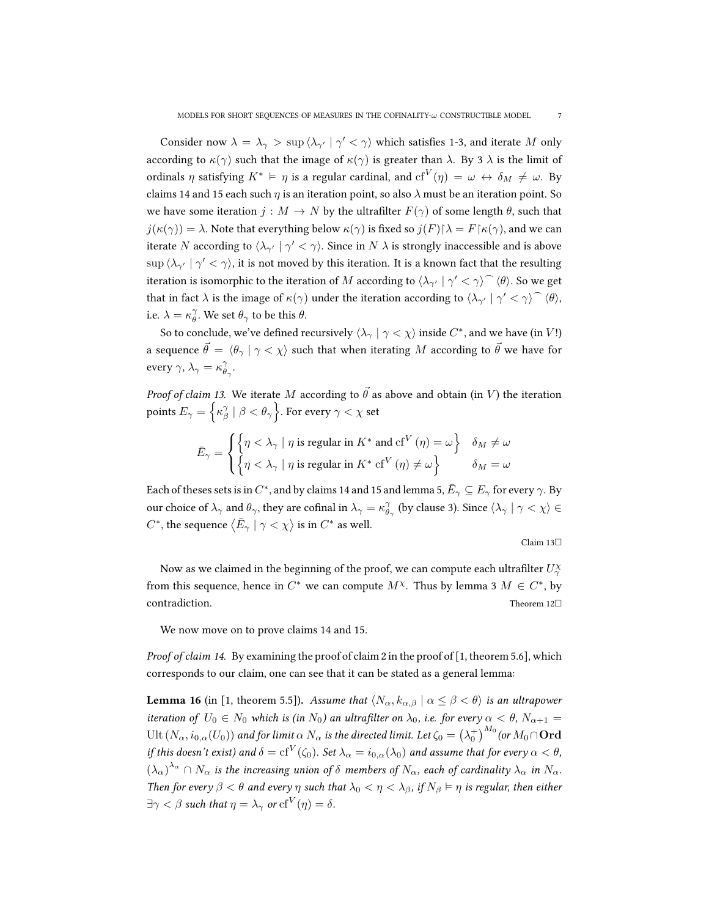Consider now  $\lambda = \lambda_{\gamma} > \sup \langle \lambda_{\gamma'} | \gamma' < \gamma \rangle$  which satisfies 1-3, and iterate M only according to  $\kappa(\gamma)$  such that the image of  $\kappa(\gamma)$  is greater than  $\lambda$ . By 3  $\lambda$  is the limit of ordinals  $\eta$  satisfying  $K^* \vDash \eta$  is a regular cardinal, and  $\mathrm{cf}^V(\eta) \,=\, \omega \, \leftrightarrow \, \delta_M \, \neq \, \omega.$  By claims [14](#page-5-2) and [15](#page-5-1) each such  $\eta$  is an iteration point, so also  $\lambda$  must be an iteration point. So we have some iteration  $j : M \to N$  by the ultrafilter  $F(\gamma)$  of some length  $\theta$ , such that  $j(\kappa(\gamma)) = \lambda$ . Note that everything below  $\kappa(\gamma)$  is fixed so  $j(F)|\lambda = F| \kappa(\gamma)$ , and we can iterate  $N$  according to  $\langle \lambda_{\gamma'}\mid \gamma'<\gamma\rangle.$  Since in  $N$   $\lambda$  is strongly inaccessible and is above  $\sup\,\langle\lambda_{\gamma'}\mid\gamma'<\gamma\rangle,$  it is not moved by this iteration. It is a known fact that the resulting iteration is isomorphic to the iteration of  $M$  according to  $\langle\lambda_{\gamma'}\mid\gamma'<\gamma\rangle^\frown\langle\theta\rangle.$  So we get that in fact  $\lambda$  is the image of  $\kappa(\gamma)$  under the iteration according to  $\langle \lambda_{\gamma'} | \gamma' < \gamma \rangle^{\frown} \langle \theta \rangle$ , i.e.  $\lambda = \kappa_{\theta}^{\gamma}$ . We set  $\theta_{\gamma}$  to be this  $\theta$ .

So to conclude, we've defined recursively  $\langle \lambda_\gamma\mid\gamma<\chi\rangle$  inside  $C^*$ , and we have (in  $V!$ ) a sequence  $\vec{\theta} = \langle \theta_{\gamma} | \gamma \langle \chi \rangle$  such that when iterating M according to  $\vec{\theta}$  we have for every  $\gamma$ ,  $\lambda_{\gamma} = \kappa_{\theta_{\gamma}}^{\gamma}$ .

*Proof of claim [13.](#page-5-0)* We iterate M according to  $\vec{\theta}$  as above and obtain (in V) the iteration points  $E_\gamma = \Big\{\kappa_\beta^\gamma \mid \beta < \theta_\gamma\Big\}.$  For every  $\gamma < \chi$  set

$$
\bar{E}_{\gamma} = \begin{cases} \left\{ \eta < \lambda_{\gamma} \mid \eta \text{ is regular in } K^* \text{ and cf}^V(\eta) = \omega \right\} & \delta_M \neq \omega \\ \left\{ \eta < \lambda_{\gamma} \mid \eta \text{ is regular in } K^* \text{ cf}^V(\eta) \neq \omega \right\} & \delta_M = \omega \end{cases}
$$

Each of theses sets is in  $C^*$ , and by claims [14](#page-5-2) and [15](#page-5-1) and lemma [5,](#page-3-0)  $\bar{E}_\gamma \subseteq E_\gamma$  for every  $\gamma.$  By our choice of  $\lambda_\gamma$  and  $\theta_\gamma$ , they are cofinal in  $\lambda_\gamma=\kappa_{\theta_\gamma}^\gamma$  (by clause 3). Since  $\langle \lambda_\gamma\mid\gamma<\chi\rangle\in\mathbb{R}$  $C^*$ , the sequence  $\langle \bar{E}_\gamma \mid \gamma < \chi \rangle$  is in  $C^*$  as well.

Claim [13](#page-5-0)

Now as we claimed in the beginning of the proof, we can compute each ultrafilter  $U_\gamma^\chi$ from this sequence, hence in  $C^*$  we can compute  $M^{\chi}$ . Thus by lemma [3](#page-2-0)  $M \in C^*$ , by  $control$   $Theorem 12$  $Theorem 12$ 

We now move on to prove claims [14](#page-5-2) and [15.](#page-5-1)

*Proof of claim [14.](#page-5-2)* By examining the proof of claim 2 in the proof of  $[1,$  theorem 5.6], which corresponds to our claim, one can see that it can be stated as a general lemma:

<span id="page-6-0"></span>**Lemma 16** (in [\[1,](#page-11-0) theorem 5.5]). Assume that  $\langle N_{\alpha}, k_{\alpha, \beta} | \alpha \leq \beta < \theta \rangle$  is an ultrapower iteration of  $U_0 \in N_0$  which is (in  $N_0$ ) an ultrafilter on  $\lambda_0$ , i.e. for every  $\alpha < \theta$ ,  $N_{\alpha+1} =$  $\mathrm{Ult}\,(N_\alpha,i_{0,\alpha}(U_0))$  and for limit  $\alpha\,N_\alpha$  is the directed limit. Let  $\zeta_0=\big(\lambda_0^+\big)^{M_0}$  (or  $M_0\cap\mathbf{Ord}$ if this doesn't exist) and  $\delta = \mathrm{cf}^V(\zeta_0)$ . Set  $\lambda_\alpha = i_{0,\alpha}(\lambda_0)$  and assume that for every  $\alpha < \theta$ ,  $(\lambda_\alpha)^{\lambda_\alpha}\cap N_\alpha$  is the increasing union of  $\delta$  members of  $N_\alpha$ , each of cardinality  $\lambda_\alpha$  in  $N_\alpha$ . Then for every  $\beta < \theta$  and every  $\eta$  such that  $\lambda_0 < \eta < \lambda_\beta$ , if  $N_\beta \vDash \eta$  is regular, then either  $\exists \gamma < \beta$  such that  $\eta = \lambda_{\gamma}$  or  $\mathrm{cf}^V(\eta) = \delta.$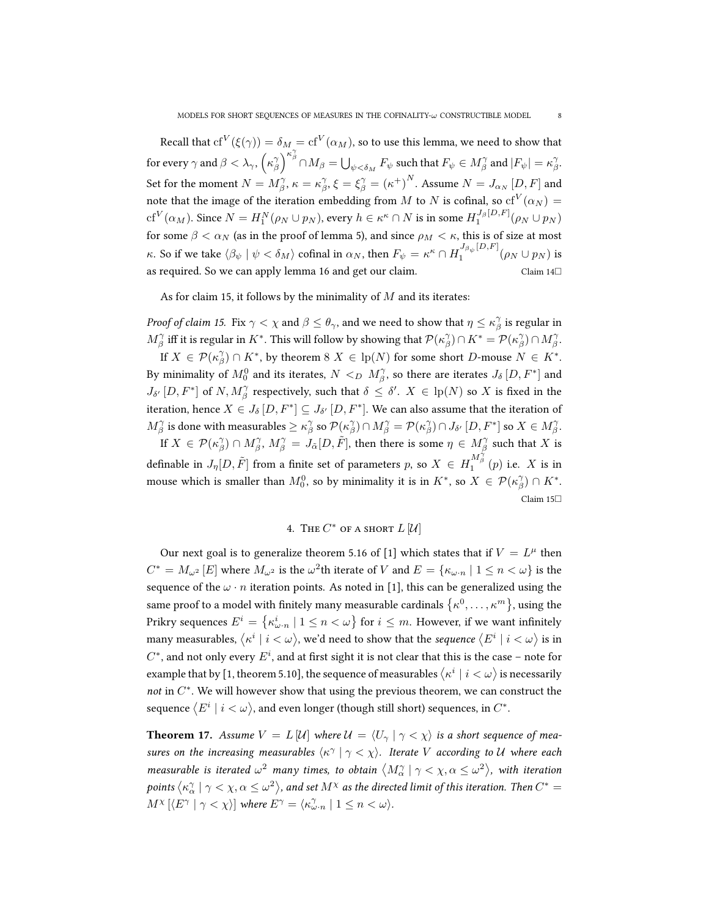Recall that  $\mathrm{cf}^V(\xi(\gamma))=\delta_M=\mathrm{cf}^V(\alpha_M),$  so to use this lemma, we need to show that for every  $\gamma$  and  $\beta < \lambda_\gamma$ ,  $\left(\kappa_\beta^\gamma\right)^{\kappa_\beta^\gamma} \cap M_\beta = \bigcup_{\psi < \delta_M} F_\psi$  such that  $F_\psi \in M_\beta^\gamma$  and  $|F_\psi| = \kappa_\beta^\gamma$ . Set for the moment  $N=M^\gamma_\beta,$   $\kappa=\kappa^\gamma_\beta,$   $\xi=\xi^\gamma_\beta={(\kappa^+)}^N.$  Assume  $N=J_{\alpha_N}\left[D,F\right]$  and note that the image of the iteration embedding from  $M$  to  $N$  is cofinal, so  $\mathrm{cf}^V(\alpha_N) =$  $\mathrm{cf}^V(\alpha_M)$ . Since  $N=H_1^N(\rho_N\cup p_N)$ , every  $h\in\kappa^\kappa\cap N$  is in some  $H_1^{J_\beta[D,F]}(\rho_N\cup p_N)$ for some  $\beta < \alpha_N$  (as in the proof of lemma [5\)](#page-3-0), and since  $\rho_M < \kappa$ , this is of size at most κ. So if we take  $\langle \beta_\psi | \psi < \delta_M \rangle$  cofinal in  $\alpha_N$ , then  $F_\psi = \kappa^\kappa \cap H_1^{J_{\beta_\psi}[D,F]}$  $\int_1^{\infty_p} \rho \psi^{(2)}(p_N \cup p_N)$  is as required. So we can apply lemma [16](#page-6-0) and get our claim.  $\Box$  Claim [14](#page-5-2) $\Box$ 

As for claim [15,](#page-5-1) it follows by the minimality of  $M$  and its iterates:

*Proof of claim [15.](#page-5-1)* Fix  $\gamma < \chi$  and  $\beta \le \theta_\gamma$ , and we need to show that  $\eta \le \kappa_\beta^\gamma$  is regular in  $M^{\gamma}_{\beta}$  iff it is regular in  $K^*$ . This will follow by showing that  $\mathcal{P}(\kappa^{\gamma}_{\beta}) \cap K^* = \mathcal{P}(\kappa^{\gamma}_{\beta}) \cap M^{\gamma}_{\beta}$ .

If  $X \in \mathcal{P}(\kappa_{\beta}^{\gamma}) \cap K^*$ , by theorem  $8 X \in lp(N)$  $8 X \in lp(N)$  for some short  $D$ -mouse  $N \in K^*$ . By minimality of  $M_0^0$  and its iterates,  $N <_D M^{\gamma}_{\beta}$ , so there are iterates  $J_{\delta}\left[D,F^*\right]$  and  $J_{\delta'}[D, F^*]$  of  $N, M_\beta^\gamma$  respectively, such that  $\delta \leq \delta'.$   $X \in \mathrm{lp}(N)$  so  $X$  is fixed in the iteration, hence  $X\in J_{\delta}\left[D,F^*\right]\subseteq J_{\delta'}\left[D,F^*\right]$ . We can also assume that the iteration of  $M^{\gamma}_{\beta}$  is done with measurables  $\geq \kappa_{\beta}^{\gamma}$  so  $\mathcal{P}(\kappa_{\beta}^{\gamma})\cap M^{\gamma}_{\beta} = \mathcal{P}(\kappa_{\beta}^{\gamma})\cap J_{\delta'}\left[D,F^{*}\right]$  so  $X\in M^{\gamma}_{\beta}$ .

If  $X\in \mathcal{P}(\kappa_\beta^\gamma)\cap M_\beta^\gamma$  ,  $M_\beta^\gamma=J_{\tilde\alpha}[D,\tilde F],$  then there is some  $\eta\in M_\beta^\gamma$  such that  $X$  is definable in  $J_\eta[D,\tilde{F}]$  from a finite set of parameters  $p$ , so  $X\,\in\,H_1^{\overrightarrow{M_\beta}^{\,\gamma}}(p)$  i.e.  $\,X$  is in mouse which is smaller than  $M_0^0$ , so by minimality it is in  $K^*$ , so  $X \in \mathcal{P}(\kappa_\beta^\gamma) \cap K^*$ . Claim [15](#page-5-1)

# 4. The  $C^*$  of a short  $L[\mathcal{U}]$

<span id="page-7-0"></span>Our next goal is to generalize theorem 5.16 of [\[1\]](#page-11-0) which states that if  $V = L^{\mu}$  then  $C^*=M_{\omega^2}\left[E\right]$  where  $M_{\omega^2}$  is the  $\omega^2$ th iterate of  $V$  and  $E=\{\kappa_{\omega\cdot n}\mid 1\leq n<\omega\}$  is the sequence of the  $\omega \cdot n$  iteration points. As noted in [\[1\]](#page-11-0), this can be generalized using the same proof to a model with finitely many measurable cardinals  $\{\kappa^0,\ldots,\kappa^m\}$ , using the Prikry sequences  $E^i = \big\{ \kappa^i_{\omega \cdot n} \ | \ 1 \leq n < \omega \big\}$  for  $i \leq m$ . However, if we want infinitely many measurables,  $\langle \kappa^i\mid i<\omega\rangle$ , we'd need to show that the *sequence*  $\langle E^i\mid i<\omega\rangle$  is in  $C^*$ , and not only every  $E^i$ , and at first sight it is not clear that this is the case – note for example that by [\[1,](#page-11-0) theorem 5.10], the sequence of measurables  $\bra{\kappa^i}\,i<\omega\rangle$  is necessarily not in  $C^*$ . We will however show that using the previous theorem, we can construct the sequence  $\langle E^i \mid i < \omega \rangle$ , and even longer (though still short) sequences, in  $C^*.$ 

<span id="page-7-1"></span>**Theorem 17.** Assume  $V = L[\mathcal{U}]$  where  $\mathcal{U} = \langle U_{\gamma} | \gamma \langle \chi \rangle$  is a short sequence of measures on the increasing measurables  $\langle \kappa^\gamma | \gamma < \chi \rangle$ . Iterate V according to U where each measurable is iterated  $\omega^2$  many times, to obtain  $\langle M^\gamma_\alpha\mid\gamma<\chi,\alpha\leq\omega^2\rangle$ , with iteration points  $\big\langle \kappa^\gamma_\alpha\mid\gamma<\chi,\alpha\leq\omega^2\big\rangle$ , and set  $M^\chi$  as the directed limit of this iteration. Then  $C^*=$  $M^{\chi} \left[ \langle E^{\gamma} \mid \gamma < \chi \rangle \right]$  where  $E^{\gamma} = \langle \kappa_{\omega \cdot n}^{\gamma} \mid 1 \leq n < \omega \rangle$ .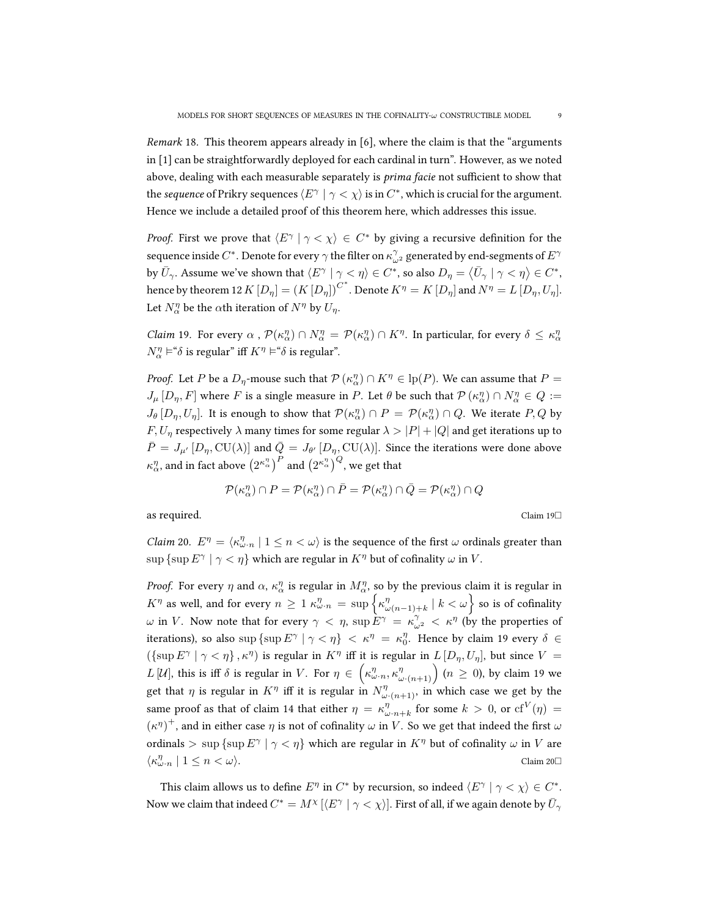Remark 18. This theorem appears already in [\[6\]](#page-11-5), where the claim is that the "arguments in [\[1\]](#page-11-0) can be straightforwardly deployed for each cardinal in turn". However, as we noted above, dealing with each measurable separately is prima facie not sufficient to show that the sequence of Prikry sequences  $\langle E^\gamma \mid \gamma < \chi \rangle$  is in  $C^*$ , which is crucial for the argument. Hence we include a detailed proof of this theorem here, which addresses this issue.

*Proof.* First we prove that  $\langle E^{\gamma} | \gamma \langle \chi \rangle \in C^*$  by giving a recursive definition for the sequence inside  $C^*.$  Denote for every  $\gamma$  the filter on  $\kappa^\gamma_{\omega^2}$  generated by end-segments of  $E^\gamma$ by  $\bar{U}_\gamma$ . Assume we've shown that  $\langle E^\gamma \mid \gamma < \eta \rangle \in C^*$ , so also  $D_\eta = \langle \bar{U}_\gamma \mid \gamma < \eta \rangle \in C^*$ , hence by theorem [12](#page-4-1)  $K\left[D_{\eta}\right]=\left(K\left[D_{\eta}\right]\right)^{C^*}.$  Denote  $K^{\eta}=K\left[D_{\eta}\right]$  and  $N^{\eta}=L\left[D_{\eta},U_{\eta}\right]$ . Let  $N_{\alpha}^{\eta}$  be the  $\alpha$ th iteration of  $N^{\eta}$  by  $U_{\eta}$ .

<span id="page-8-0"></span>*Claim* 19. For every  $\alpha$ ,  $\mathcal{P}(\kappa^n_\alpha) \cap N^\eta_\alpha = \mathcal{P}(\kappa^n_\alpha) \cap K^\eta$ . In particular, for every  $\delta \leq \kappa^n_\alpha$  $N^\eta_\alpha\models \text{``}\delta$  is regular" iff  $K^\eta\models \text{``}\delta$  is regular".

*Proof.* Let P be a  $D_{\eta}$ -mouse such that  $\mathcal{P}(\kappa_{\alpha}^{\eta}) \cap K^{\eta} \in \mathrm{lp}(P)$ . We can assume that  $P =$  $J_\mu [D_\eta, F]$  where F is a single measure in P. Let  $\theta$  be such that  $\mathcal{P}(\kappa^\eta_\alpha) \cap N^\eta_\alpha \in Q :=$  $J_{\theta}[D_{\eta},U_{\eta}]$ . It is enough to show that  $\mathcal{P}(\kappa^n_{\alpha}) \cap P = \mathcal{P}(\kappa^n_{\alpha}) \cap Q$ . We iterate  $P,Q$  by  $F, U<sub>\eta</sub>$  respectively  $\lambda$  many times for some regular  $\lambda > |P| + |Q|$  and get iterations up to  $\bar{P} = J_{\mu'} [D_{\eta}, \text{CU}(\lambda)]$  and  $\bar{Q} = J_{\theta'} [D_{\eta}, \text{CU}(\lambda)]$ . Since the iterations were done above  $\kappa^\eta_\alpha$ , and in fact above  $\left(2^{\kappa^\eta_\alpha}\right)^P$  and  $\left(2^{\kappa^\eta_\alpha}\right)^Q$ , we get that

$$
\mathcal{P}(\kappa_{\alpha}^{\eta}) \cap P = \mathcal{P}(\kappa_{\alpha}^{\eta}) \cap \bar{P} = \mathcal{P}(\kappa_{\alpha}^{\eta}) \cap \bar{Q} = \mathcal{P}(\kappa_{\alpha}^{\eta}) \cap Q
$$

as required. Claim [19](#page-8-0) $\square$ 

<span id="page-8-1"></span>*Claim* 20.  $E^{\eta} = \langle \kappa_{\omega}^{\eta}, \eta \mid 1 \leq n < \omega \rangle$  is the sequence of the first  $\omega$  ordinals greater than  $\sup \{\sup E^\gamma \mid \gamma < \eta\}$  which are regular in  $K^\eta$  but of cofinality  $\omega$  in  $V$ .

*Proof.* For every  $\eta$  and  $\alpha$ ,  $\kappa^\eta_\alpha$  is regular in  $M^\eta_\alpha$ , so by the previous claim it is regular in  $K^\eta$  as well, and for every  $n \, \geq \, 1 \, \kappa^\eta_{\omega \cdot n} \, = \, \sup \Big\{ \kappa^\eta_{\omega} \,$  $_{\omega(n-1)+k}^{\eta}$  |  $k<\omega\Big\}$  so is of cofinality ω in V. Now note that for every  $\gamma < \eta$ ,  $\sup E^{\gamma} = \kappa_{\omega^2}^{\gamma} < \kappa^{\eta}$  (by the properties of iterations), so also  $\sup \{\sup E^\gamma \mid \gamma < \eta\} < \kappa^\eta = \kappa_0^\eta$ . Hence by claim [19](#page-8-0) every  $\delta \in$  $({\{\sup E^{\gamma} \mid \gamma < \eta\}, \kappa^{\eta})}$  is regular in  $K^{\eta}$  iff it is regular in  $L[D_{\eta}, U_{\eta}]$ , but since  $V =$  $L \, [\mathcal{U}],$  this is iff  $\delta$  is regular in  $V.$  For  $\eta \in \bigg(\kappa^{\eta}_{\omega \cdot n}, \kappa^{\eta}_{\omega \cdot (n+1)}\bigg)$   $(n \geq 0)$ , by claim [19](#page-8-0) we get that  $\eta$  is regular in  $K^{\eta}$  iff it is regular in  $N^{\eta}_{\omega \cdot (n+1)}$ , in which case we get by the same proof as that of claim [14](#page-5-2) that either  $\eta = \kappa_{\omega \cdot n + k}^{\eta}$  for some  $k > 0$ , or  $\mathrm{cf}^V(\eta) =$  $(\kappa^{\eta})^+$ , and in either case  $\eta$  is not of cofinality  $\omega$  in V. So we get that indeed the first  $\omega$ ordinals  $> \sup \{\sup E^{\gamma} | \gamma < \eta\}$  which are regular in  $K^{\eta}$  but of cofinality  $\omega$  in V are  $\langle \kappa^{\eta}_{\omega \cdot n} \mid 1 \leq n < \omega \rangle$ . Claim [20](#page-8-1)

This claim allows us to define  $E^{\eta}$  in  $C^*$  by recursion, so indeed  $\langle E^{\gamma} | \gamma < \chi \rangle \in C^*$ . Now we claim that indeed  $C^*=M^\chi\,[\langle E^\gamma\mid \gamma<\chi\rangle].$  First of all, if we again denote by  $\bar U_\gamma$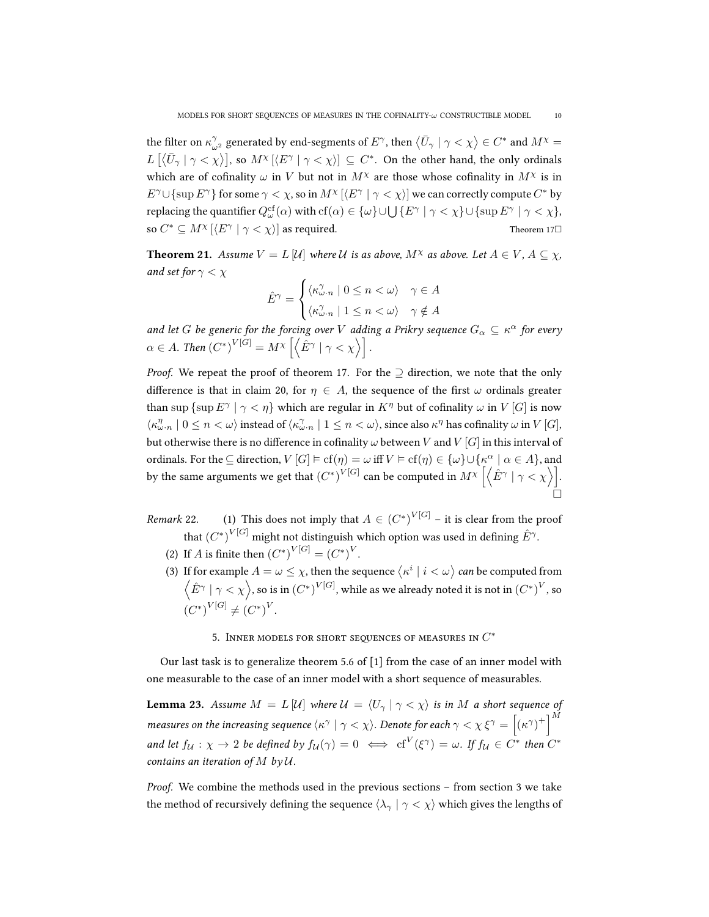the filter on  $\kappa_{\omega^2}^\gamma$  generated by end-segments of  $E^\gamma$ , then  $\left<\bar U_\gamma\mid\gamma<\chi\right>\in C^*$  and  $M^\chi=$  $L\left[\left\langle \bar{U}_\gamma\mid\gamma<\chi\right\rangle\right]$ , so  $M^\chi\left[\left\langle E^\gamma\mid\gamma<\chi\right\rangle\right]\subseteq C^*.$  On the other hand, the only ordinals which are of cofinality  $\omega$  in V but not in  $M^{\chi}$  are those whose cofinality in  $M^{\chi}$  is in  $E^{\gamma} \cup \{\sup E^{\gamma}\}\$  for some  $\gamma < \chi$ , so in  $M^{\chi}$   $[\langle E^{\gamma} | \gamma < \chi \rangle]$  we can correctly compute  $C^*$  by replacing the quantifier  $Q^{\text{cf}}_{\omega}(\alpha)$  with  $\text{cf}(\alpha) \in {\{\omega\}} \cup \bigcup {\{E^{\gamma} \mid \gamma < \chi\}} \cup {\{\sup E^{\gamma} \mid \gamma < \chi\}}$ , so  $C^* \subseteq M^\chi$   $[\langle E^\gamma \mid \gamma < \chi \rangle]$  as required. Theorem [17](#page-7-1) $\square$ 

**Theorem 21.** Assume  $V = L \left[ \mathcal{U} \right]$  where  $\mathcal{U}$  is as above,  $M^{\chi}$  as above. Let  $A \in V$ ,  $A \subseteq \chi$ , and set for  $\gamma < \chi$ 

$$
\hat{E}^{\gamma} = \begin{cases} \langle \kappa_{\omega \cdot n}^{\gamma} \mid 0 \le n < \omega \rangle & \gamma \in A \\ \langle \kappa_{\omega \cdot n}^{\gamma} \mid 1 \le n < \omega \rangle & \gamma \notin A \end{cases}
$$

and let G be generic for the forcing over V adding a Prikry sequence  $G_{\alpha} \subseteq \kappa^{\alpha}$  for every  $\alpha \in A$ . Then  $(C^*)^{V[G]} = M^\chi \left[ \left\langle \hat{E}^\gamma \mid \gamma < \chi \right\rangle \right]$ .

*Proof.* We repeat the proof of theorem [17.](#page-7-1) For the  $\supseteq$  direction, we note that the only difference is that in claim [20,](#page-8-1) for  $\eta \in A$ , the sequence of the first  $\omega$  ordinals greater than sup  $\{\sup E^\gamma \mid \gamma < \eta\}$  which are regular in  $K^\eta$  but of cofinality  $\omega$  in  $V[G]$  is now  $\langle \kappa^{\eta}_{\omega \cdot n} \mid 0 \leq n < \omega \rangle$  instead of  $\langle \kappa^{\gamma}_{\omega \cdot n} \mid 1 \leq n < \omega \rangle$ , since also  $\kappa^{\eta}$  has cofinality  $\omega$  in  $V[G]$ , but otherwise there is no difference in cofinality  $\omega$  between V and V [G] in this interval of ordinals. For the  $\subseteq$  direction,  $V[G] \models cf(\eta) = \omega$  iff  $V \models cf(\eta) \in {\omega} \cup {\kappa^{\alpha} \mid \alpha \in A}$ , and by the same arguments we get that  ${(C^*)}^{V[G]}$  can be computed in  $M^\chi \left[ \left\langle \hat{E}^\gamma \mid \gamma < \chi \right\rangle \right].$  $\Box$ 

*Remark* 22. (1) This does not imply that  $A \in (C^*)^{V[G]}$  – it is clear from the proof that  ${(C^*)}^{V[G]}$  might not distinguish which option was used in defining  $\hat{E}^\gamma.$ 

- (2) If *A* is finite then  $(C^*)^{V[G]} = (C^*)^V$ .
- (3) If for example  $A=\omega\leq\chi,$  then the sequence  $\left\langle \kappa^{i}\mid i<\omega\right\rangle$  can be computed from  $\left\langle \hat{E}^\gamma \mid \gamma<\chi\right\rangle$ , so is in  $(C^*)^{V[G]},$  while as we already noted it is not in  ${(C^*)}^V$ , so  $(C^*)^{V[G]} \neq (C^*)^V.$

5. Inner models for short sequences of measures in  $C^{\ast}$ 

<span id="page-9-0"></span>Our last task is to generalize theorem 5.6 of [\[1\]](#page-11-0) from the case of an inner model with one measurable to the case of an inner model with a short sequence of measurables.

**Lemma 23.** Assume  $M = L[\mathcal{U}]$  where  $\mathcal{U} = \langle U_{\gamma} | \gamma \langle \chi \rangle$  is in M a short sequence of measures on the increasing sequence  $\langle \kappa^\gamma\mid\gamma<\chi\rangle$ . Denote for each  $\gamma<\chi$   $\xi^\gamma=\left[(\kappa^\gamma)^+\right]^M$ and let  $f_{\mathcal{U}} : \chi \to 2$  be defined by  $f_{\mathcal{U}}(\gamma) = 0 \iff \text{cf}^V(\xi^{\gamma}) = \omega$ . If  $f_{\mathcal{U}} \in C^*$  then  $C^*$ contains an iteration of  $M$  by  $\mathcal{U}$ .

Proof. We combine the methods used in the previous sections – from section [3](#page-4-0) we take the method of recursively defining the sequence  $\langle \lambda_{\gamma} | \gamma \langle \chi \rangle$  which gives the lengths of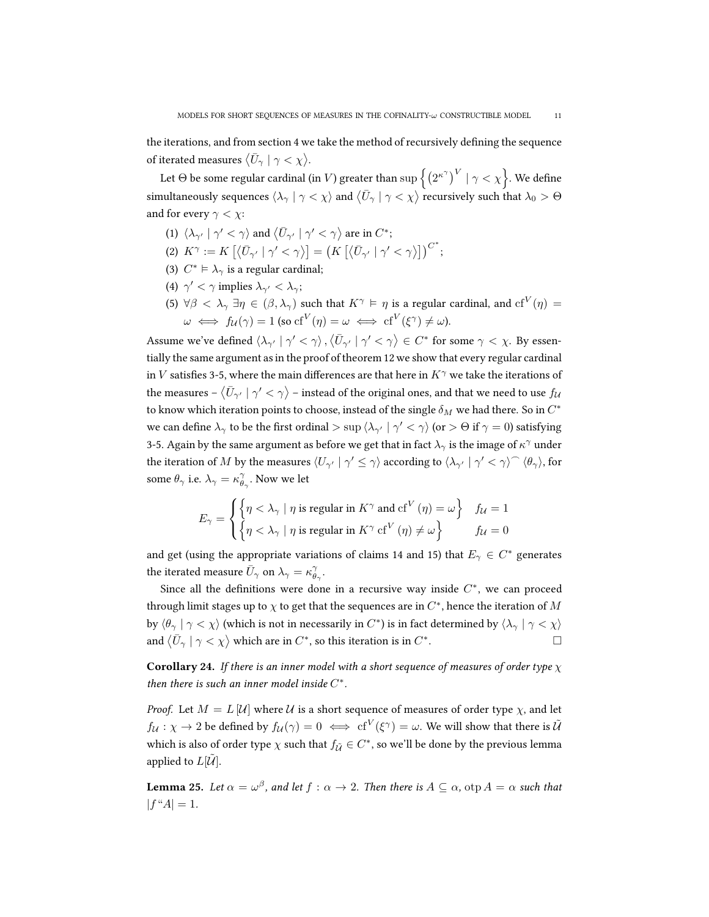Let  $\Theta$  be some regular cardinal (in  $V$ ) greater than  $\sup\left\{\left(2^{\kappa^\gamma}\right)^V\mid\gamma<\chi\right\}$ . We define simultaneously sequences  $\langle \lambda_\gamma\mid\gamma<\chi\rangle$  and  $\langle \bar U_\gamma\mid\gamma<\chi\rangle$  recursively such that  $\lambda_0> \Theta$ and for every  $\gamma < \chi$ :

- (1)  $\langle \lambda_{\gamma'} | \gamma' < \gamma \rangle$  and  $\langle \bar{U}_{\gamma'} | \gamma' < \gamma \rangle$  are in  $C^*$ ;
- (2)  $K^{\gamma} := K \left[ \left\langle \bar{U}_{\gamma'} \mid \gamma' < \gamma \right\rangle \right] = \left( K \left[ \left\langle \bar{U}_{\gamma'} \mid \gamma' < \gamma \right\rangle \right] \right)^{C^*};$
- (3)  $C^* \vDash \lambda_\gamma$  is a regular cardinal;
- (4)  $\gamma' < \gamma$  implies  $\lambda_{\gamma'} < \lambda_{\gamma}$ ;
- (5)  $\forall \beta < \lambda_\gamma \exists \eta \in (\beta, \lambda_\gamma)$  such that  $K^\gamma \vDash \eta$  is a regular cardinal, and  $\mathrm{cf}^V(\eta) = \emptyset$  $\omega \iff f_{\mathcal{U}}(\gamma) = 1 \text{ (so } \mathrm{cf}^V(\eta) = \omega \iff \mathrm{cf}^V(\xi^\gamma) \neq \omega).$

Assume we've defined  $\langle \lambda_{\gamma'}\mid\gamma'<\gamma\rangle$  ,  $\langle \bar{U}_{\gamma'}\mid\gamma'<\gamma\rangle\in C^*$  for some  $\gamma<\chi$ . By essentially the same argument as in the proof of theorem [12](#page-4-1) we show that every regular cardinal in V satisfies 3-5, where the main differences are that here in  $K^{\gamma}$  we take the iterations of the measures –  $\langle \bar{U}_{\gamma'}\mid \gamma'<\gamma\rangle$  – instead of the original ones, and that we need to use  $f_{\cal U}$ to know which iteration points to choose, instead of the single  $\delta_M$  we had there. So in  $C^*$ we can define  $\lambda_\gamma$  to be the first ordinal  $>\sup\braket{\lambda_{\gamma'}}|\ \gamma'<\gamma\rangle$  (or  $>\Theta$  if  $\gamma=0$ ) satisfying 3-5. Again by the same argument as before we get that in fact  $\lambda_\gamma$  is the image of  $\kappa^\gamma$  under the iteration of  $M$  by the measures  $\langle U_{\gamma'} | \gamma' \leq \gamma \rangle$  according to  $\langle \lambda_{\gamma'} | \gamma' < \gamma \rangle^{\frown} \langle \theta_{\gamma} \rangle$ , for some  $\theta_{\gamma}$  i.e.  $\lambda_{\gamma} = \kappa_{\theta_{\gamma}}^{\gamma}$ . Now we let

$$
E_{\gamma} = \begin{cases} \left\{ \eta < \lambda_{\gamma} \mid \eta \text{ is regular in } K^{\gamma} \text{ and cf}^{V}(\eta) = \omega \right\} & f_{\mathcal{U}} = 1 \\ \left\{ \eta < \lambda_{\gamma} \mid \eta \text{ is regular in } K^{\gamma} \text{ cf}^{V}(\eta) \neq \omega \right\} & f_{\mathcal{U}} = 0 \end{cases}
$$

and get (using the appropriate variations of claims [14](#page-5-2) and [15\)](#page-5-1) that  $E_\gamma \in C^*$  generates the iterated measure  $\bar{U}_\gamma$  on  $\lambda_\gamma = \kappa_{\theta_\gamma}^\gamma$ .

Since all the definitions were done in a recursive way inside  $C^*$ , we can proceed through limit stages up to  $\chi$  to get that the sequences are in  $C^*$ , hence the iteration of  $M$ by  $\langle \theta_\gamma\mid\gamma<\chi\rangle$  (which is not in necessarily in  $C^*$ ) is in fact determined by  $\langle \lambda_\gamma\mid\gamma<\chi\rangle$ and  $\langle \bar{U}_\gamma \mid \gamma < \chi \rangle$  which are in  $C^*$ , so this iteration is in  $C^*$ . — Первый процесс в после просто просто программа и просто просто просто просто просто просто просто просто п<br>В 1990 году стала просто просто просто просто просто просто просто просто просто просто просто просто просто п

**Corollary 24.** If there is an inner model with a short sequence of measures of order type  $\chi$ then there is such an inner model inside  $C^*$ .

*Proof.* Let  $M = L |\mathcal{U}|$  where  $\mathcal{U}$  is a short sequence of measures of order type  $\chi$ , and let  $f_{\mathcal{U}}:\chi\to 2$  be defined by  $f_{\mathcal{U}}(\gamma)=0 \iff \text{cf}^V(\xi^\gamma)=\omega.$  We will show that there is  $\tilde{\mathcal{U}}$ which is also of order type  $\chi$  such that  $f_{\tilde{\mathcal{U}}} \in C^*$ , so we'll be done by the previous lemma applied to  $L[\mathcal{U}]$ .

**Lemma 25.** Let  $\alpha = \omega^{\beta}$ , and let  $f : \alpha \to 2$ . Then there is  $A \subseteq \alpha$ ,  $\text{otp } A = \alpha$  such that  $|f''A| = 1.$